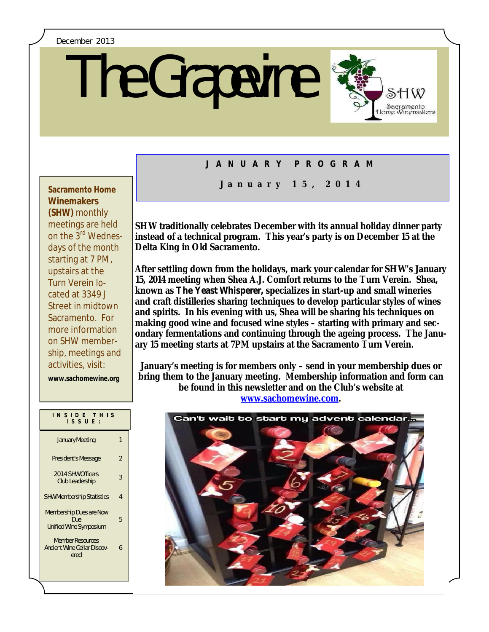#### December 2013

# The Grapevine



## **J A N U A R Y P R O G R A M**

## **Winemakers (SHW)** monthly meetings are held on the 3rd Wednesdays of the month starting at 7 PM, upstairs at the Turn Verein located at 3349 J Street in midtown Sacramento. For more information on SHW membership, meetings and

**www.sachomewine.org** 

activities, visit:

| INSIDE THIS<br>ISSUE:                                                  |                |
|------------------------------------------------------------------------|----------------|
| <b>January Meeting</b>                                                 |                |
| President's Message                                                    | $\overline{2}$ |
| 2014 SHW Officers<br><b>Club Leadership</b>                            | 3              |
| <b>SHW Membership Statistics</b>                                       | 4              |
| <b>Membership Dues are Now</b><br>Due<br><b>Unified Wine Symposium</b> | 5              |
| <b>Member Resources</b><br><b>Ancient Wine Cellar Discov-</b><br>ered  | 6              |

# **J a n u a r y 1 5 , 2 0 1 4 Sacramento Home**

**SHW traditionally celebrates December with its annual holiday dinner party instead of a technical program. This year's party is on December 15 at the Delta King in Old Sacramento.**

**After settling down from the holidays, mark your calendar for SHW's January 15, 2014 meeting when Shea A.J. Comfort returns to the Turn Verein. Shea, known as** *The Yeast Whisperer,* **specializes in start-up and small wineries and craft distilleries sharing techniques to develop particular styles of wines and spirits. In his evening with us, Shea will be sharing his techniques on making good wine and focused wine styles – starting with primary and secondary fermentations and continuing through the ageing process. The January 15 meeting starts at 7PM upstairs at the Sacramento Turn Verein.**

**January's meeting is for members only – send in your membership dues or bring them to the January meeting. Membership information and form can be found in this newsletter and on the Club's website at www.sachomewine.com.** 

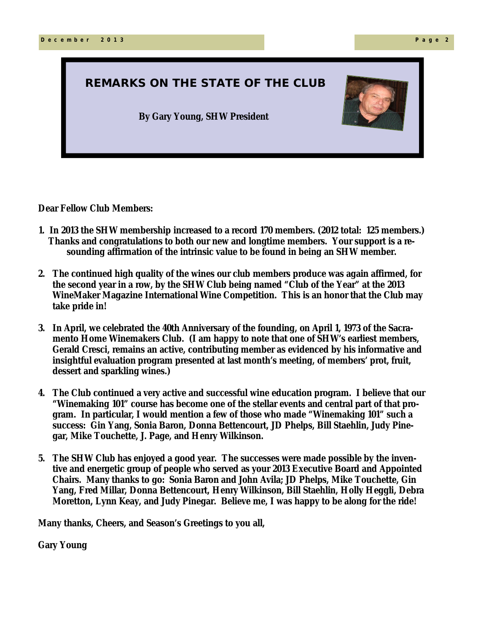## **REMARKS ON THE STATE OF THE CLUB**

**By Gary Young, SHW President**



**Dear Fellow Club Members:**

- **1. In 2013 the SHW membership increased to a record 170 members. (2012 total: 125 members.) Thanks and congratulations to both our new and longtime members. Your support is a resounding affirmation of the intrinsic value to be found in being an SHW member.**
- **2 0 1 3 p r o g r a m c a l e n d a r WineMaker Magazine International Wine Competition. This is an honor that the Club may 2. The continued high quality of the wines our club members produce was again affirmed, for the second year in a row, by the SHW Club being named "Club of the Year" at the 2013 take pride in!**
- **3. In April, we celebrated the 40th Anniversary of the founding, on April 1, 1973 of the Sacramento Home Winemakers Club. (I am happy to note that one of SHW's earliest members, Gerald Cresci, remains an active, contributing member as evidenced by his informative and insightful evaluation program presented at last month's meeting, of members' prot, fruit, dessert and sparkling wines.)**
- **4. The Club continued a very active and successful wine education program. I believe that our "Winemaking 101" course has become one of the stellar events and central part of that program. In particular, I would mention a few of those who made "Winemaking 101" such a success: Gin Yang, Sonia Baron, Donna Bettencourt, JD Phelps, Bill Staehlin, Judy Pinegar, Mike Touchette, J. Page, and Henry Wilkinson.**
- **5. The SHW Club has enjoyed a good year. The successes were made possible by the inventive and energetic group of people who served as your 2013 Executive Board and Appointed Chairs. Many thanks to go: Sonia Baron and John Avila; JD Phelps, Mike Touchette, Gin Yang, Fred Millar, Donna Bettencourt, Henry Wilkinson, Bill Staehlin, Holly Heggli, Debra Moretton, Lynn Keay, and Judy Pinegar. Believe me, I was happy to be along for the ride!**

**Many thanks, Cheers, and Season's Greetings to you all,**

**Gary Young**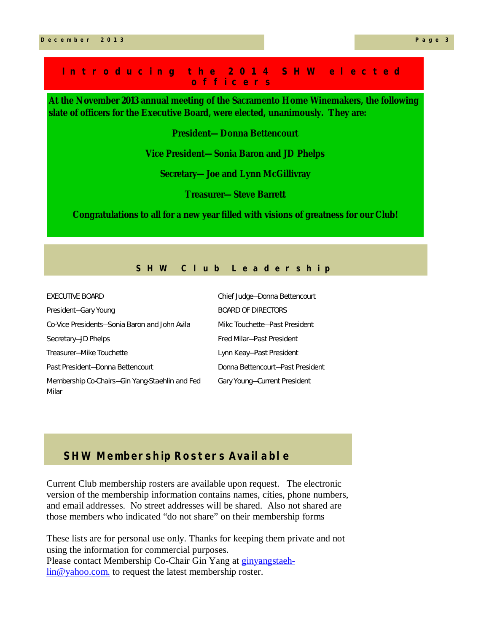#### **I n t r o d u c i n g t h e 2 0 1 4 S H W e l e c t e d o f f i c e r s**

**At the November 2013 annual meeting of the Sacramento Home Winemakers, the following slate of officers for the Executive Board, were elected, unanimously. They are:**

**President—Donna Bettencourt**

**Vice President—Sonia Baron and JD Phelps**

**Secretary—Joe and Lynn McGillivray**

**Treasurer—Steve Barrett**

**Congratulations to all for a new year filled with visions of greatness for our Club!**

#### **S H W C l u b L e a d e r s h i p**

| <b>EXECUTIVE BOARD</b>                                  | Chief Judge-Donna Bettencourt    |
|---------------------------------------------------------|----------------------------------|
| President-Gary Young                                    | <b>BOARD OF DIRECTORS</b>        |
| Co-Vice Presidents-Sonia Baron and John Avila           | Mikc Touchette-Past President    |
| Secretary-JD Phelps                                     | Fred Milar-Past President        |
| Treasurer-Mike Touchette                                | Lynn Keay-Past President         |
| Past President-Donna Bettencourt                        | Donna Bettencourt-Past President |
| Membership Co-Chairs-Gin Yang-Staehlin and Fed<br>Milar | Gary Young-Current President     |

## **SHW Membership Rosters Available**

Current Club membership rosters are available upon request. The electronic version of the membership information contains names, cities, phone numbers, and email addresses. No street addresses will be shared. Also not shared are those members who indicated "do not share" on their membership forms

These lists are for personal use only. Thanks for keeping them private and not using the information for commercial purposes. Please contact Membership Co-Chair Gin Yang at ginyangstaehlin@yahoo.com. to request the latest membership roster.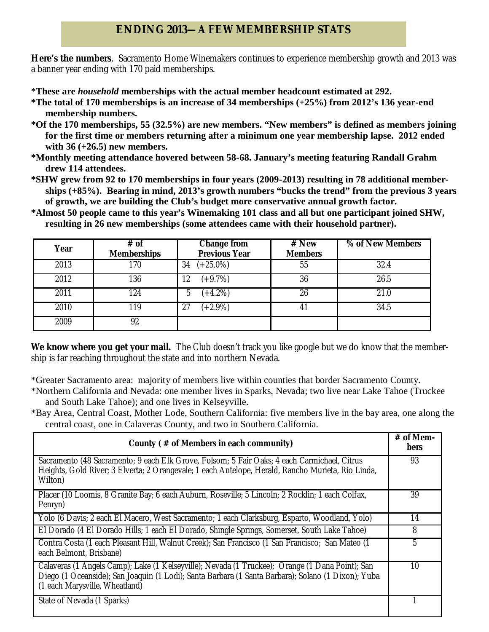## **ENDING 2013—A FEW MEMBERSHIP STATS**

**Here's the numbers**. Sacramento Home Winemakers continues to experience membership growth and 2013 was a banner year ending with 170 paid memberships.

- \***These are** *household* **memberships with the actual member headcount estimated at 292.**
- **\*The total of 170 memberships is an increase of 34 memberships (+25%) from 2012's 136 year-end membership numbers.**
- **\*Of the 170 memberships, 55 (32.5%) are new members. "New members" is defined as members joining for the first time or members returning after a minimum one year membership lapse. 2012 ended with 36 (+26.5) new members.**
- **\*Monthly meeting attendance hovered between 58-68. January's meeting featuring Randall Grahm drew 114 attendees.**
- **\*SHW grew from 92 to 170 memberships in four years (2009-2013) resulting in 78 additional memberships (+85%). Bearing in mind, 2013's growth numbers "bucks the trend" from the previous 3 years of growth, we are building the Club's budget more conservative annual growth factor.**
- **\*Almost 50 people came to this year's Winemaking 101 class and all but one participant joined SHW, resulting in 26 new memberships (some attendees came with their household partner).**

| Year | # of<br><b>Memberships</b> | <b>Change from</b><br><b>Previous Year</b> | # New<br><b>Members</b> | % of New Members |
|------|----------------------------|--------------------------------------------|-------------------------|------------------|
| 2013 | 170                        | $(+25.0\%)$<br>34                          | 55                      | 32.4             |
| 2012 | 136                        | $(+9.7%)$<br>12                            | 36                      | 26.5             |
| 2011 | 124                        | $(+4.2%)$<br>b                             | 26                      | 21.0             |
| 2010 | 119                        | $(+2.9\%)$<br>27                           | 41                      | 34.5             |
| 2009 | 92                         |                                            |                         |                  |

We know where you get your mail. The Club doesn't track you like google but we do know that the membership is far reaching throughout the state and into northern Nevada.

\*Greater Sacramento area: majority of members live within counties that border Sacramento County.

- \*Northern California and Nevada: one member lives in Sparks, Nevada; two live near Lake Tahoe (Truckee and South Lake Tahoe); and one lives in Kelseyville.
- \*Bay Area, Central Coast, Mother Lode, Southern California: five members live in the bay area, one along the central coast, one in Calaveras County, and two in Southern California.

| County (# of Members in each community)                                                                                                                                                                                                 | $#$ of Mem-<br><b>bers</b> |
|-----------------------------------------------------------------------------------------------------------------------------------------------------------------------------------------------------------------------------------------|----------------------------|
| Sacramento (48 Sacramento; 9 each Elk Grove, Folsom; 5 Fair Oaks; 4 each Carmichael, Citrus<br>Heights, Gold River; 3 Elverta; 2 Orangevale; 1 each Antelope, Herald, Rancho Murieta, Rio Linda,<br>Wilton)                             | 93                         |
| Placer (10 Loomis, 8 Granite Bay; 6 each Auburn, Roseville; 5 Lincoln; 2 Rocklin; 1 each Colfax,<br>Penryn)                                                                                                                             | 39                         |
| Yolo (6 Davis; 2 each El Macero, West Sacramento; 1 each Clarksburg, Esparto, Woodland, Yolo)                                                                                                                                           | 14                         |
| El Dorado (4 El Dorado Hills; 1 each El Dorado, Shingle Springs, Somerset, South Lake Tahoe)                                                                                                                                            | 8                          |
| Contra Costa (1 each Pleasant Hill, Walnut Creek); San Francisco (1 San Francisco; San Mateo (1<br>each Belmont, Brisbane)                                                                                                              | 5                          |
| Calaveras (1 Angels Camp); Lake (1 Kelseyville); Nevada (1 Truckee); Orange (1 Dana Point); San<br>Diego (1 Oceanside); San Joaquin (1 Lodi); Santa Barbara (1 Santa Barbara); Solano (1 Dixon); Yuba<br>(1 each Marysville, Wheatland) | 10                         |
| State of Nevada (1 Sparks)                                                                                                                                                                                                              |                            |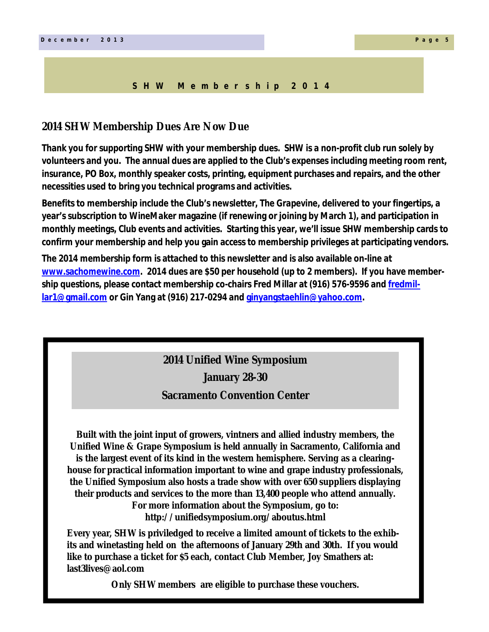#### **S H W M e m b e r s h i p 2 0 1 4**

#### **2014 SHW Membership Dues Are Now Due**

**Thank you for supporting SHW with your membership dues. SHW is a non-profit club run solely by volunteers and you. The annual dues are applied to the Club's expenses including meeting room rent, insurance, PO Box, monthly speaker costs, printing, equipment purchases and repairs, and the other necessities used to bring you technical programs and activities.**

**Benefits to membership include the Club's newsletter,** *The Grapevine***, delivered to your fingertips, a year's subscription to** *WineMaker* **magazine (if renewing or joining by March 1), and participation in monthly meetings, Club events and activities. Starting this year, we'll issue SHW membership cards to confirm your membership and help you gain access to membership privileges at participating vendors.**

**The 2014 membership form is attached to this newsletter and is also available on-line at www.sachomewine.com. 2014 dues are \$50 per household (up to 2 members). If you have membership questions, please contact membership co-chairs Fred Millar at (916) 576-9596 and fredmillar1@gmail.com or Gin Yang at (916) 217-0294 and ginyangstaehlin@yahoo.com.**

## **2014 Unified Wine Symposium**

**January 28-30**

## **Sacramento Convention Center**

**Built with the joint input of growers, vintners and allied industry members, the Unified Wine & Grape Symposium is held annually in Sacramento, California and is the largest event of its kind in the western hemisphere. Serving as a clearinghouse for practical information important to wine and grape industry professionals, the Unified Symposium also hosts a trade show with over 650 suppliers displaying their products and services to the more than 13,400 people who attend annually. For more information about the Symposium, go to: http://unifiedsymposium.org/aboutus.html** 

**Every year, SHW is priviledged to receive a limited amount of tickets to the exhibits and winetasting held on the afternoons of January 29th and 30th. If you would like to purchase a ticket for \$5 each, contact Club Member, Joy Smathers at: last3lives@aol.com**

**Only SHW members are eligible to purchase these vouchers.**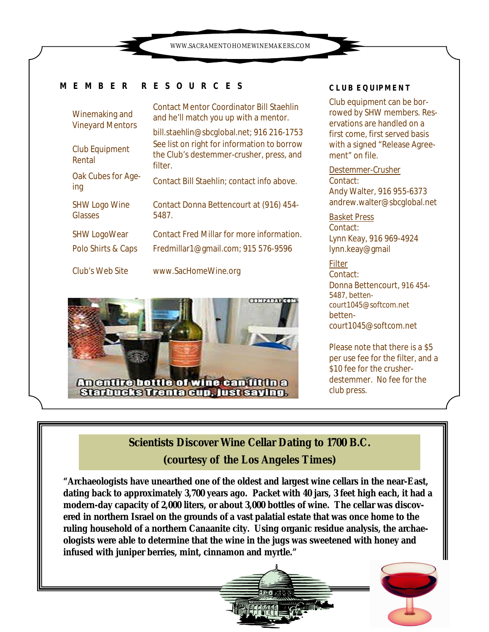WWW.SACRAMENTOHOMEWINEMAKERS.COM

### **M E M B E R R E S O U R C E S**

| Winemaking and<br><b>Vineyard Mentors</b> | <b>Contact Mentor Coordinator Bill Staehlin</b><br>and he'll match you up with a mentor.                                             |
|-------------------------------------------|--------------------------------------------------------------------------------------------------------------------------------------|
| <b>Club Equipment</b>                     | bill.staehlin@sbcqlobal.net; 916 216-1753<br>See list on right for information to borrow<br>the Club's destemmer-crusher, press, and |
| Rental                                    | filter.                                                                                                                              |
| Oak Cubes for Age-<br>ing                 | Contact Bill Staehlin; contact info above.                                                                                           |
| <b>SHW Logo Wine</b><br>Glasses           | Contact Donna Bettencourt at (916) 454-<br>5487.                                                                                     |
| <b>SHW LogoWear</b>                       | <b>Contact Fred Millar for more information.</b>                                                                                     |
| Polo Shirts & Caps                        | Fredmillar1@gmail.com; 915 576-9596                                                                                                  |
| Club's Web Site                           | www.SacHomeWine.org                                                                                                                  |
|                                           |                                                                                                                                      |



#### **CLUB EQUIPMENT**

Club equipment can be borrowed by SHW members. Reservations are handled on a first come, first served basis with a signed "Release Agreement" on file.

*Destemmer-Crusher* Contact: Andy Walter, 916 955-6373 andrew.walter@sbcglobal.net

*Basket Press* Contact: Lynn Keay, 916 969-4924 lynn.keay@gmail

#### *Filter*  Contact: Donna Bettencourt, 916 454- 5487, bettencourt1045@softcom.net bettencourt1045@softcom.net

Please note that there is a \$5 per use fee for the filter, and a \$10 fee for the crusherdestemmer. No fee for the club press.

## **Scientists Discover Wine Cellar Dating to 1700 B.C. (courtesy of the Los Angeles Times)**

**"Archaeologists have unearthed one of the oldest and largest wine cellars in the near-East, dating back to approximately 3,700 years ago. Packet with 40 jars, 3 feet high each, it had a modern-day capacity of 2,000 liters, or about 3,000 bottles of wine. The cellar was discovered in northern Israel on the grounds of a vast palatial estate that was once home to the ruling household of a northern Canaanite city. Using organic residue analysis, the archaeologists were able to determine that the wine in the jugs was sweetened with honey and infused with juniper berries, mint, cinnamon and myrtle."**